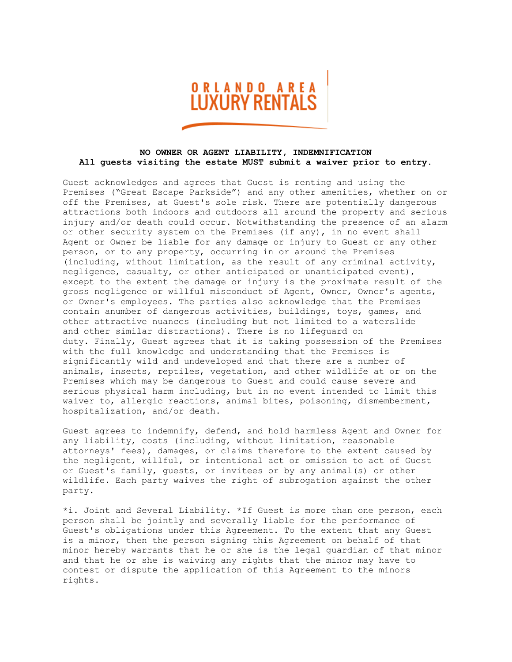

## **NO OWNER OR AGENT LIABILITY, INDEMNIFICATION All guests visiting the estate MUST submit a waiver prior to entry.**

Guest acknowledges and agrees that Guest is renting and using the Premises ("Great Escape Parkside") and any other amenities, whether on or off the Premises, at Guest's sole risk. There are potentially dangerous attractions both indoors and outdoors all around the property and serious injury and/or death could occur. Notwithstanding the presence of an alarm or other security system on the Premises (if any), in no event shall Agent or Owner be liable for any damage or injury to Guest or any other person, or to any property, occurring in or around the Premises (including, without limitation, as the result of any criminal activity, negligence, casualty, or other anticipated or unanticipated event), except to the extent the damage or injury is the proximate result of the gross negligence or willful misconduct of Agent, Owner, Owner's agents, or Owner's employees. The parties also acknowledge that the Premises contain anumber of dangerous activities, buildings, toys, games, and other attractive nuances (including but not limited to a waterslide and other similar distractions). There is no lifeguard on duty. Finally, Guest agrees that it is taking possession of the Premises with the full knowledge and understanding that the Premises is significantly wild and undeveloped and that there are a number of animals, insects, reptiles, vegetation, and other wildlife at or on the Premises which may be dangerous to Guest and could cause severe and serious physical harm including, but in no event intended to limit this waiver to, allergic reactions, animal bites, poisoning, dismemberment, hospitalization, and/or death.

Guest agrees to indemnify, defend, and hold harmless Agent and Owner for any liability, costs (including, without limitation, reasonable attorneys' fees), damages, or claims therefore to the extent caused by the negligent, willful, or intentional act or omission to act of Guest or Guest's family, guests, or invitees or by any animal(s) or other wildlife. Each party waives the right of subrogation against the other party.

\*i. Joint and Several Liability. \*If Guest is more than one person, each person shall be jointly and severally liable for the performance of Guest's obligations under this Agreement. To the extent that any Guest is a minor, then the person signing this Agreement on behalf of that minor hereby warrants that he or she is the legal guardian of that minor and that he or she is waiving any rights that the minor may have to contest or dispute the application of this Agreement to the minors rights.